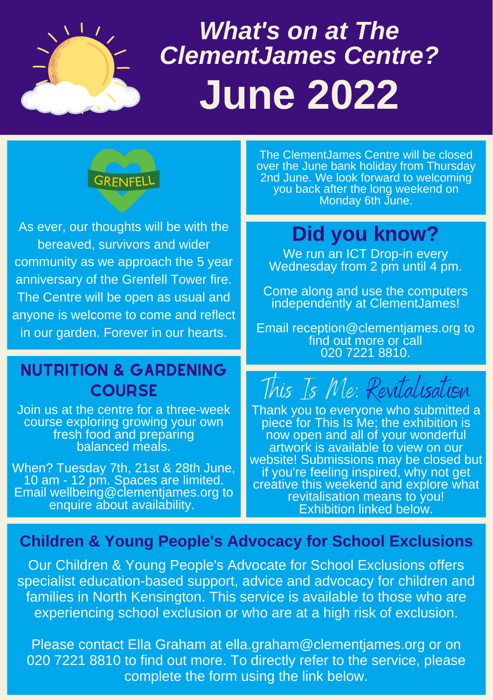

# *What's on at The ClementJames Centre?* **June 2022**



As ever, our thoughts will be with the bereaved, survivors and wider community as we approach the 5 year anniversary of the Grenfell Tower fire. The Centre will be open as usual and anyone is welcome to come and reflect in our garden. Forever in our hearts.

#### Nutrition & gardening **COURSE**

Join us at the centre for a three-week course exploring growing your own fresh food and preparing balanced meals.

When? Tuesday 7th, 21st & 28th June, 10 am - 12 pm. Spaces are limited. Email wellbeing@clementjames.org to enquire about availability.

**The ClementJames Centre will be closed**<br> **The Clupe bank holiday from Thursday** over the June bank holiday from Thursday 2nd June. We look forward to welcoming you back after the long weekend on Monday 6th June.

## **Did you know?**

We run an ICT Drop-in every Wednesday from 2 pm until 4 pm.

Come along and use the computers independently at ClementJames!

Email reception@clementjames.org to find out more or call 020 7221 8810.

This Is Me: Revitalisation

Thank you to everyone who submitted a piece for This Is Me; the exhibition is now open and all of your wonderful artwork is available to view on our website! Submissions may be closed but if you're feeling inspired, why not get creative this weekend and explore what revitalisation means to you! Exhibition linked below.

#### **Children & Young People's Advocacy for School Exclusions**

Our Children & Young People's Advocate for School Exclusions offers specialist education-based support, advice and advocacy for children and families in North Kensington. This service is available to those who are experiencing school exclusion or who are at a high risk of exclusion.

Please contact Ella Graham at [ella.graham@clementjames.org](mailto:ella.graham@clementjames.org) or on [020 7221 8810](tel:02072218810) to find out more. To directly refer to the service, please complete the form using the link below.